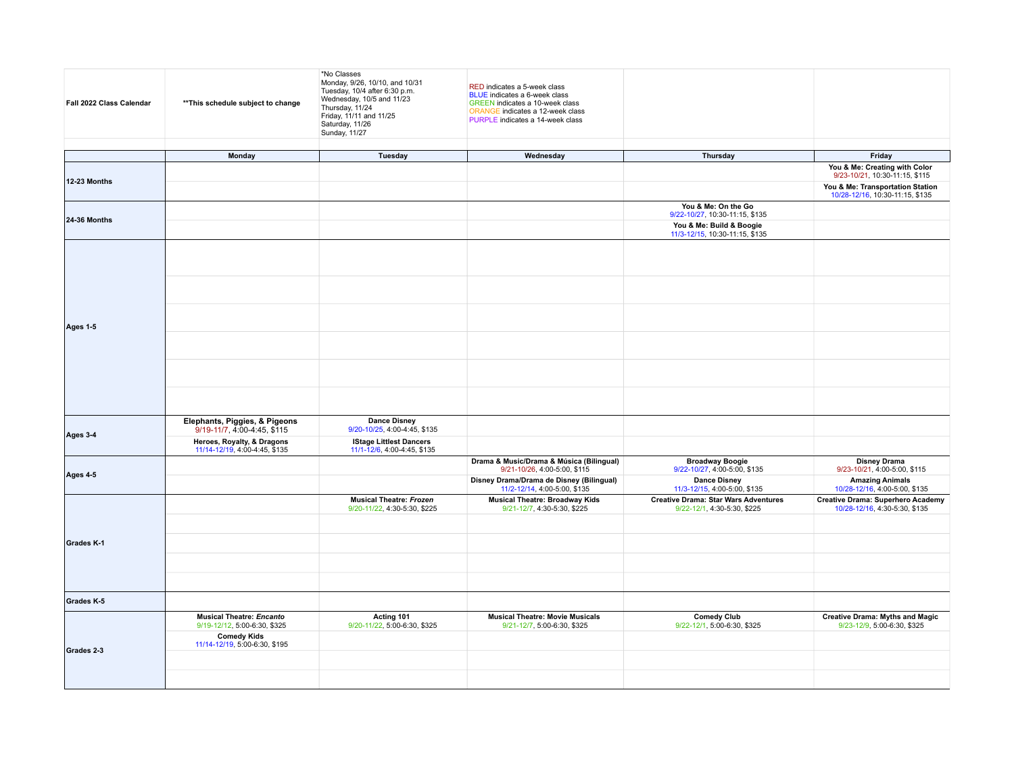| Fall 2022 Class Calendar | ** This schedule subject to change                              | *No Classes<br>Monday, 9/26, 10/10, and 10/31<br>Tuesday, 10/4 after 6:30 p.m.<br>Wednesday, 10/5 and 11/23<br>Thursday, 11/24<br>Friday, 11/11 and 11/25<br>Saturday, 11/26<br>Sunday, 11/27 | RED indicates a 5-week class<br>BLUE indicates a 6-week class<br><b>GREEN</b> indicates a 10-week class<br>ORANGE indicates a 12-week class<br>PURPLE indicates a 14-week class                                                                                                    |                                                                            |                                                                           |
|--------------------------|-----------------------------------------------------------------|-----------------------------------------------------------------------------------------------------------------------------------------------------------------------------------------------|------------------------------------------------------------------------------------------------------------------------------------------------------------------------------------------------------------------------------------------------------------------------------------|----------------------------------------------------------------------------|---------------------------------------------------------------------------|
|                          |                                                                 |                                                                                                                                                                                               |                                                                                                                                                                                                                                                                                    |                                                                            |                                                                           |
|                          | Monday                                                          | Tuesday                                                                                                                                                                                       |                                                                                                                                                                                                                                                                                    | Thursday                                                                   | Friday                                                                    |
| <b>12-23 Months</b>      |                                                                 |                                                                                                                                                                                               |                                                                                                                                                                                                                                                                                    |                                                                            | You & Me: Creating with Color<br>9/23-10/21, 10:30-11:15, \$115           |
|                          |                                                                 |                                                                                                                                                                                               |                                                                                                                                                                                                                                                                                    |                                                                            | You & Me: Transportation Station<br>10/28-12/16, 10:30-11:15, \$135       |
| <b>24-36 Months</b>      |                                                                 |                                                                                                                                                                                               |                                                                                                                                                                                                                                                                                    | You & Me: On the Go<br>9/22-10/27, 10:30-11:15, \$135                      |                                                                           |
|                          |                                                                 |                                                                                                                                                                                               |                                                                                                                                                                                                                                                                                    | You & Me: Build & Boogie<br>11/3-12/15, 10:30-11:15, \$135                 |                                                                           |
|                          |                                                                 |                                                                                                                                                                                               |                                                                                                                                                                                                                                                                                    |                                                                            |                                                                           |
| Ages 1-5                 |                                                                 |                                                                                                                                                                                               |                                                                                                                                                                                                                                                                                    |                                                                            |                                                                           |
|                          |                                                                 |                                                                                                                                                                                               |                                                                                                                                                                                                                                                                                    |                                                                            |                                                                           |
|                          |                                                                 |                                                                                                                                                                                               |                                                                                                                                                                                                                                                                                    |                                                                            |                                                                           |
|                          |                                                                 |                                                                                                                                                                                               |                                                                                                                                                                                                                                                                                    |                                                                            |                                                                           |
|                          | Elephants, Piggies, & Pigeons<br>9/19-11/7, 4:00-4:45, \$115    | <b>Dance Disney</b><br>9/20-10/25, 4:00-4:45, \$135                                                                                                                                           |                                                                                                                                                                                                                                                                                    |                                                                            |                                                                           |
| Ages 3-4                 | Heroes, Royalty, & Dragons<br>11/14-12/19, 4:00-4:45, \$135     | <b>IStage Littlest Dancers</b><br>11/1-12/6, 4:00-4:45, \$135                                                                                                                                 |                                                                                                                                                                                                                                                                                    |                                                                            |                                                                           |
| Ages 4-5                 |                                                                 |                                                                                                                                                                                               | 9/21-10/26, 4:00-5:00, \$115                                                                                                                                                                                                                                                       | <b>Broadway Boogie</b><br>9/22-10/27, 4:00-5:00, \$135                     | <b>Disney Drama</b><br>9/23-10/21, 4:00-5:00, \$115                       |
|                          |                                                                 |                                                                                                                                                                                               | Wednesday<br>Drama & Music/Drama & Música (Bilingual)<br>Disney Drama/Drama de Disney (Bilingual)<br>11/2-12/14, 4:00-5:00, \$135<br><b>Musical Theatre: Broadway Kids</b><br>9/21-12/7, 4:30-5:30, \$225<br><b>Musical Theatre: Movie Musicals</b><br>9/21-12/7, 5:00-6:30, \$325 | <b>Dance Disney</b><br>11/3-12/15, 4:00-5:00, \$135                        | <b>Amazing Animals</b><br>10/28-12/16, 4:00-5:00, \$135                   |
|                          |                                                                 | <b>Musical Theatre: Frozen</b><br>9/20-11/22, 4:30-5:30, \$225                                                                                                                                |                                                                                                                                                                                                                                                                                    | <b>Creative Drama: Star Wars Adventures</b><br>9/22-12/1, 4:30-5:30, \$225 | <b>Creative Drama: Superhero Academy</b><br>10/28-12/16, 4:30-5:30, \$135 |
| Grades K-1               |                                                                 |                                                                                                                                                                                               |                                                                                                                                                                                                                                                                                    |                                                                            |                                                                           |
|                          |                                                                 |                                                                                                                                                                                               |                                                                                                                                                                                                                                                                                    |                                                                            |                                                                           |
|                          |                                                                 |                                                                                                                                                                                               |                                                                                                                                                                                                                                                                                    |                                                                            |                                                                           |
| Grades K-5               |                                                                 |                                                                                                                                                                                               |                                                                                                                                                                                                                                                                                    |                                                                            |                                                                           |
|                          | <b>Musical Theatre: Encanto</b><br>9/19-12/12, 5:00-6:30, \$325 | Acting 101<br>9/20-11/22, 5:00-6:30, \$325                                                                                                                                                    |                                                                                                                                                                                                                                                                                    | <b>Comedy Club</b><br>9/22-12/1, 5:00-6:30, \$325                          | <b>Creative Drama: Myths and Magic</b><br>9/23-12/9, 5:00-6:30, \$325     |
| Grades 2-3               | <b>Comedy Kids</b><br>11/14-12/19, 5:00-6:30, \$195             |                                                                                                                                                                                               |                                                                                                                                                                                                                                                                                    |                                                                            |                                                                           |
|                          |                                                                 |                                                                                                                                                                                               |                                                                                                                                                                                                                                                                                    |                                                                            |                                                                           |
|                          |                                                                 |                                                                                                                                                                                               |                                                                                                                                                                                                                                                                                    |                                                                            |                                                                           |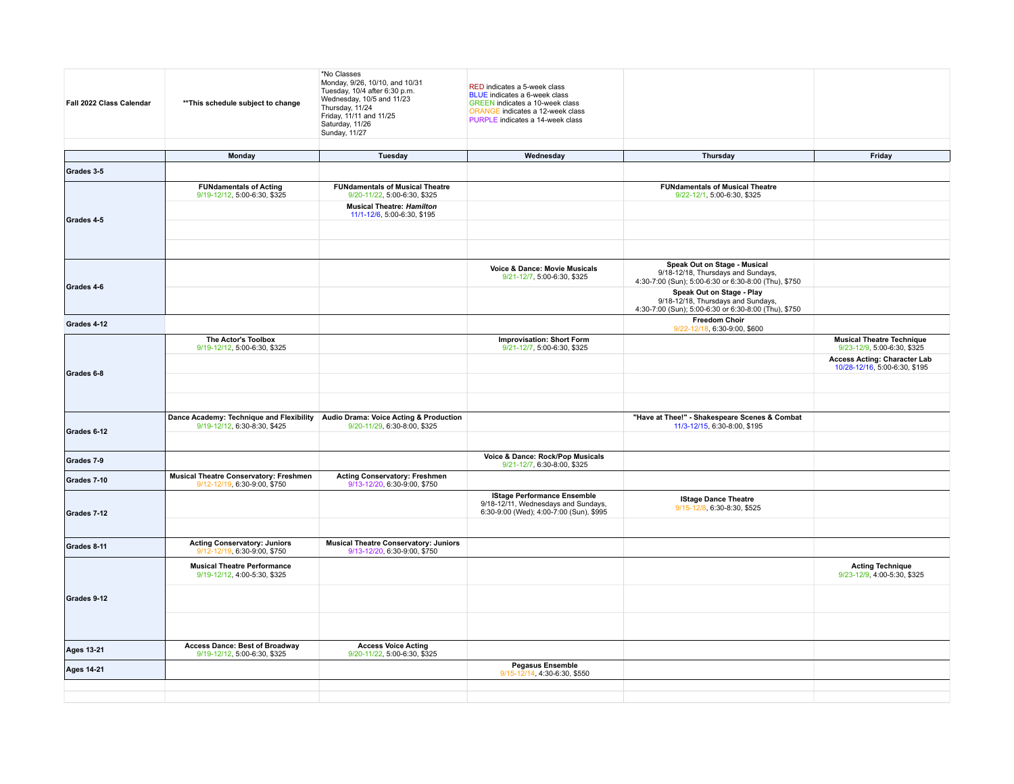| Fall 2022 Class Calendar | ** This schedule subject to change                                              | *No Classes<br>Monday, 9/26, 10/10, and 10/31<br>Tuesday, 10/4 after 6:30 p.m.<br>Wednesday, 10/5 and 11/23<br>Thursday, 11/24<br>Friday, 11/11 and 11/25<br>Saturday, 11/26<br>Sunday, 11/27 | RED indicates a 5-week class<br>BLUE indicates a 6-week class<br>GREEN indicates a 10-week class<br>ORANGE indicates a 12-week class<br>PURPLE indicates a 14-week class |                                                                                                                            |                                                                      |
|--------------------------|---------------------------------------------------------------------------------|-----------------------------------------------------------------------------------------------------------------------------------------------------------------------------------------------|--------------------------------------------------------------------------------------------------------------------------------------------------------------------------|----------------------------------------------------------------------------------------------------------------------------|----------------------------------------------------------------------|
|                          | Monday                                                                          | Tuesday                                                                                                                                                                                       | Wednesday                                                                                                                                                                | Thursday                                                                                                                   | Friday                                                               |
|                          |                                                                                 |                                                                                                                                                                                               |                                                                                                                                                                          |                                                                                                                            |                                                                      |
| Grades 3-5               |                                                                                 |                                                                                                                                                                                               |                                                                                                                                                                          |                                                                                                                            |                                                                      |
|                          | <b>FUNdamentals of Acting</b><br>9/19-12/12, 5:00-6:30, \$325                   | <b>FUNdamentals of Musical Theatre</b><br>9/20-11/22, 5:00-6:30, \$325                                                                                                                        |                                                                                                                                                                          | <b>FUNdamentals of Musical Theatre</b><br>9/22-12/1, 5:00-6:30, \$325                                                      |                                                                      |
| Grades 4-5               |                                                                                 | <b>Musical Theatre: Hamilton</b><br>11/1-12/6, 5:00-6:30, \$195                                                                                                                               |                                                                                                                                                                          |                                                                                                                            |                                                                      |
|                          |                                                                                 |                                                                                                                                                                                               |                                                                                                                                                                          |                                                                                                                            |                                                                      |
|                          |                                                                                 |                                                                                                                                                                                               |                                                                                                                                                                          |                                                                                                                            |                                                                      |
|                          |                                                                                 |                                                                                                                                                                                               | Voice & Dance: Movie Musicals<br>9/21-12/7, 5:00-6:30, \$325                                                                                                             | Speak Out on Stage - Musical<br>9/18-12/18, Thursdays and Sundays,<br>4:30-7:00 (Sun); 5:00-6:30 or 6:30-8:00 (Thu), \$750 |                                                                      |
| Grades 4-6               |                                                                                 |                                                                                                                                                                                               |                                                                                                                                                                          | Speak Out on Stage - Play<br>9/18-12/18, Thursdays and Sundays,<br>4:30-7:00 (Sun); 5:00-6:30 or 6:30-8:00 (Thu), \$750    |                                                                      |
| Grades 4-12              |                                                                                 |                                                                                                                                                                                               |                                                                                                                                                                          | <b>Freedom Choir</b><br>9/22-12/18, 6:30-9:00, \$600                                                                       |                                                                      |
|                          | The Actor's Toolbox<br>9/19-12/12, 5:00-6:30, \$325                             |                                                                                                                                                                                               | <b>Improvisation: Short Form</b><br>9/21-12/7, 5:00-6:30, \$325                                                                                                          |                                                                                                                            | <b>Musical Theatre Technique</b><br>9/23-12/9, 5:00-6:30, \$325      |
| Grades 6-8               |                                                                                 |                                                                                                                                                                                               |                                                                                                                                                                          |                                                                                                                            | <b>Access Acting: Character Lab</b><br>10/28-12/16, 5:00-6:30, \$195 |
|                          |                                                                                 |                                                                                                                                                                                               |                                                                                                                                                                          |                                                                                                                            |                                                                      |
|                          |                                                                                 |                                                                                                                                                                                               |                                                                                                                                                                          |                                                                                                                            |                                                                      |
|                          | Dance Academy: Technique and Flexibility Audio Drama: Voice Acting & Production |                                                                                                                                                                                               |                                                                                                                                                                          | "Have at Thee!" - Shakespeare Scenes & Combat                                                                              |                                                                      |
| Grades 6-12              | 9/19-12/12, 6:30-8:30, \$425                                                    | 9/20-11/29, 6:30-8:00, \$325                                                                                                                                                                  |                                                                                                                                                                          | 11/3-12/15, 6:30-8:00, \$195                                                                                               |                                                                      |
| Grades 7-9               |                                                                                 |                                                                                                                                                                                               | Voice & Dance: Rock/Pop Musicals<br>9/21-12/7, 6:30-8:00, \$325                                                                                                          |                                                                                                                            |                                                                      |
| Grades 7-10              | <b>Musical Theatre Conservatory: Freshmen</b><br>9/12-12/19, 6:30-9:00, \$750   | <b>Acting Conservatory: Freshmen</b><br>9/13-12/20, 6:30-9:00, \$750                                                                                                                          |                                                                                                                                                                          |                                                                                                                            |                                                                      |
| Grades 7-12              |                                                                                 |                                                                                                                                                                                               | <b>IStage Performance Ensemble</b><br>9/18-12/11, Wednesdays and Sundays,<br>6:30-9:00 (Wed); 4:00-7:00 (Sun), \$995                                                     | <b>IStage Dance Theatre</b><br>9/15-12/8, 6:30-8:30, \$525                                                                 |                                                                      |
|                          |                                                                                 |                                                                                                                                                                                               |                                                                                                                                                                          |                                                                                                                            |                                                                      |
| Grades 8-11              | <b>Acting Conservatory: Juniors</b><br>9/12-12/19, 6:30-9:00, \$750             | <b>Musical Theatre Conservatory: Juniors</b><br>9/13-12/20, 6:30-9:00, \$750                                                                                                                  |                                                                                                                                                                          |                                                                                                                            |                                                                      |
|                          | <b>Musical Theatre Performance</b><br>9/19-12/12, 4:00-5:30, \$325              |                                                                                                                                                                                               |                                                                                                                                                                          |                                                                                                                            | <b>Acting Technique</b><br>9/23-12/9, 4:00-5:30, \$325               |
| Grades 9-12              |                                                                                 |                                                                                                                                                                                               |                                                                                                                                                                          |                                                                                                                            |                                                                      |
|                          |                                                                                 |                                                                                                                                                                                               |                                                                                                                                                                          |                                                                                                                            |                                                                      |
| <b>Ages 13-21</b>        | Access Dance: Best of Broadway<br>9/19-12/12, 5:00-6:30, \$325                  | <b>Access Voice Acting</b><br>9/20-11/22, 5:00-6:30, \$325                                                                                                                                    |                                                                                                                                                                          |                                                                                                                            |                                                                      |
| <b>Ages 14-21</b>        |                                                                                 |                                                                                                                                                                                               | <b>Pegasus Ensemble</b><br>9/15-12/14, 4:30-6:30, \$550                                                                                                                  |                                                                                                                            |                                                                      |
|                          |                                                                                 |                                                                                                                                                                                               |                                                                                                                                                                          |                                                                                                                            |                                                                      |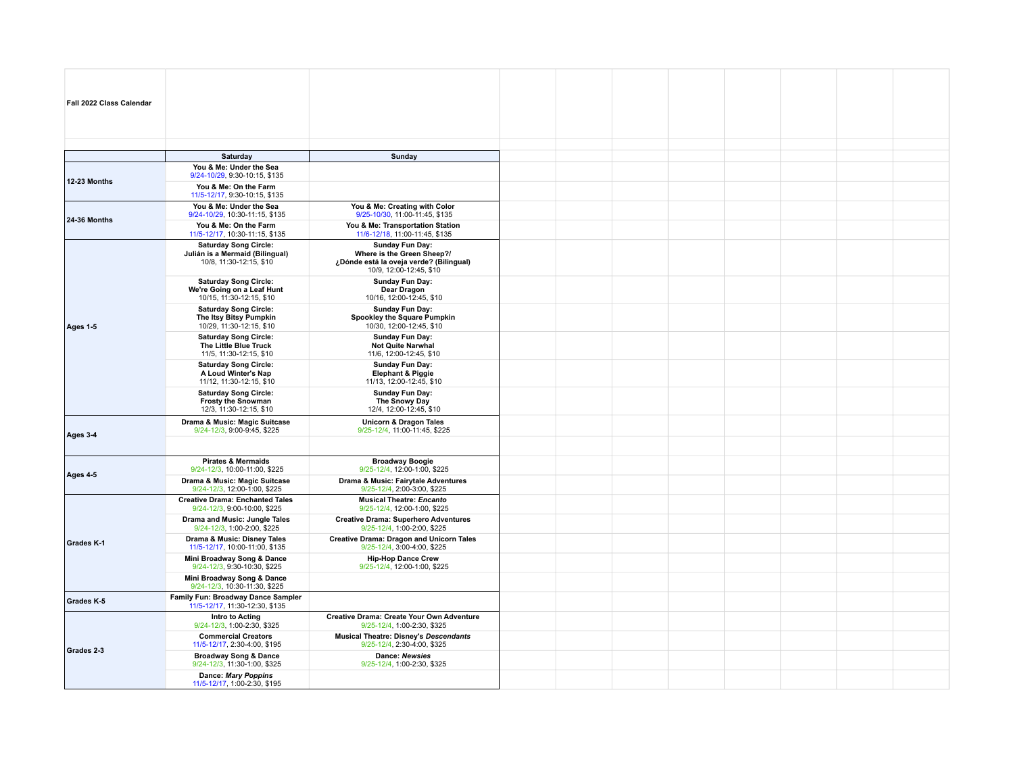| Fall 2022 Class Calendar |                                                                                            |                                                                                                                     |  |  |  |  |
|--------------------------|--------------------------------------------------------------------------------------------|---------------------------------------------------------------------------------------------------------------------|--|--|--|--|
|                          |                                                                                            |                                                                                                                     |  |  |  |  |
|                          | Saturday                                                                                   | Sunday                                                                                                              |  |  |  |  |
| <b>12-23 Months</b>      | You & Me: Under the Sea<br>9/24-10/29, 9:30-10:15, \$135                                   |                                                                                                                     |  |  |  |  |
|                          | You & Me: On the Farm<br>11/5-12/17, 9:30-10:15, \$135                                     |                                                                                                                     |  |  |  |  |
| 24-36 Months             | You & Me: Under the Sea<br>9/24-10/29, 10:30-11:15, \$135                                  | You & Me: Creating with Color<br>9/25-10/30, 11:00-11:45, \$135                                                     |  |  |  |  |
|                          | You & Me: On the Farm<br>11/5-12/17, 10:30-11:15, \$135                                    | You & Me: Transportation Station<br>11/6-12/18, 11:00-11:45, \$135                                                  |  |  |  |  |
|                          | <b>Saturday Song Circle:</b><br>Julián is a Mermaid (Bilingual)<br>10/8, 11:30-12:15, \$10 | Sunday Fun Day:<br>Where is the Green Sheep?/<br>¿Dónde está la oveja verde? (Bilingual)<br>10/9, 12:00-12:45, \$10 |  |  |  |  |
|                          | <b>Saturday Song Circle:</b><br>We're Going on a Leaf Hunt<br>10/15, 11:30-12:15, \$10     | Sunday Fun Day:<br>Dear Dragon<br>10/16, 12:00-12:45, \$10                                                          |  |  |  |  |
| Ages 1-5                 | <b>Saturday Song Circle:</b><br>The Itsy Bitsy Pumpkin<br>10/29, 11:30-12:15, \$10         | <b>Sunday Fun Day:</b><br>Spookley the Square Pumpkin<br>10/30, 12:00-12:45, \$10                                   |  |  |  |  |
|                          | <b>Saturday Song Circle:</b><br>The Little Blue Truck<br>11/5, 11:30-12:15, \$10           | <b>Sunday Fun Day:</b><br>Not Quite Narwhal<br>11/6, 12:00-12:45, \$10                                              |  |  |  |  |
|                          | <b>Saturday Song Circle:</b><br>A Loud Winter's Nap<br>11/12, 11:30-12:15, \$10            | Sunday Fun Day:<br><b>Elephant &amp; Piggie</b><br>11/13, 12:00-12:45, \$10                                         |  |  |  |  |
|                          | <b>Saturday Song Circle:</b><br><b>Frosty the Snowman</b><br>12/3, 11:30-12:15, \$10       | Sunday Fun Day:<br>The Snowy Day<br>12/4, 12:00-12:45, \$10                                                         |  |  |  |  |
| Ages 3-4                 | Drama & Music: Magic Suitcase<br>9/24-12/3, 9:00-9:45, \$225                               | <b>Unicorn &amp; Dragon Tales</b><br>9/25-12/4, 11:00-11:45, \$225                                                  |  |  |  |  |
|                          |                                                                                            |                                                                                                                     |  |  |  |  |
| Ages 4-5                 | <b>Pirates &amp; Mermaids</b><br>9/24-12/3, 10:00-11:00, \$225                             | <b>Broadway Boogie</b><br>9/25-12/4, 12:00-1:00, \$225                                                              |  |  |  |  |
|                          | Drama & Music: Magic Suitcase<br>9/24-12/3, 12:00-1:00, \$225                              | Drama & Music: Fairytale Adventures<br>9/25-12/4, 2:00-3:00, \$225                                                  |  |  |  |  |
|                          | <b>Creative Drama: Enchanted Tales</b><br>9/24-12/3, 9:00-10:00, \$225                     | <b>Musical Theatre: Encanto</b><br>9/25-12/4, 12:00-1:00, \$225                                                     |  |  |  |  |
|                          | Drama and Music: Jungle Tales<br>9/24-12/3, 1:00-2:00, \$225                               | <b>Creative Drama: Superhero Adventures</b><br>9/25-12/4, 1:00-2:00, \$225                                          |  |  |  |  |
| <b>Grades K-1</b>        | Drama & Music: Disney Tales<br>11/5-12/17, 10:00-11:00, \$135                              | <b>Creative Drama: Dragon and Unicorn Tales</b><br>9/25-12/4, 3:00-4:00, \$225                                      |  |  |  |  |
|                          | Mini Broadway Song & Dance<br>9/24-12/3, 9:30-10:30, \$225                                 | <b>Hip-Hop Dance Crew</b><br>9/25-12/4, 12:00-1:00, \$225                                                           |  |  |  |  |
|                          | Mini Broadway Song & Dance<br>9/24-12/3, 10:30-11:30, \$225                                |                                                                                                                     |  |  |  |  |
| Grades K-5               | Family Fun: Broadway Dance Sampler<br>11/5-12/17, 11:30-12:30, \$135                       |                                                                                                                     |  |  |  |  |
|                          | Intro to Acting<br>9/24-12/3, 1:00-2:30, \$325                                             | <b>Creative Drama: Create Your Own Adventure</b><br>9/25-12/4, 1:00-2:30, \$325                                     |  |  |  |  |
| Grades 2-3               | <b>Commercial Creators</b><br>11/5-12/17, 2:30-4:00, \$195                                 | <b>Musical Theatre: Disney's Descendants</b><br>9/25-12/4, 2:30-4:00, \$325                                         |  |  |  |  |
|                          | <b>Broadway Song &amp; Dance</b><br>9/24-12/3, 11:30-1:00, \$325                           | <b>Dance: Newsies</b><br>9/25-12/4, 1:00-2:30, \$325                                                                |  |  |  |  |
|                          | Dance: Mary Poppins<br>11/5-12/17, 1:00-2:30, \$195                                        |                                                                                                                     |  |  |  |  |